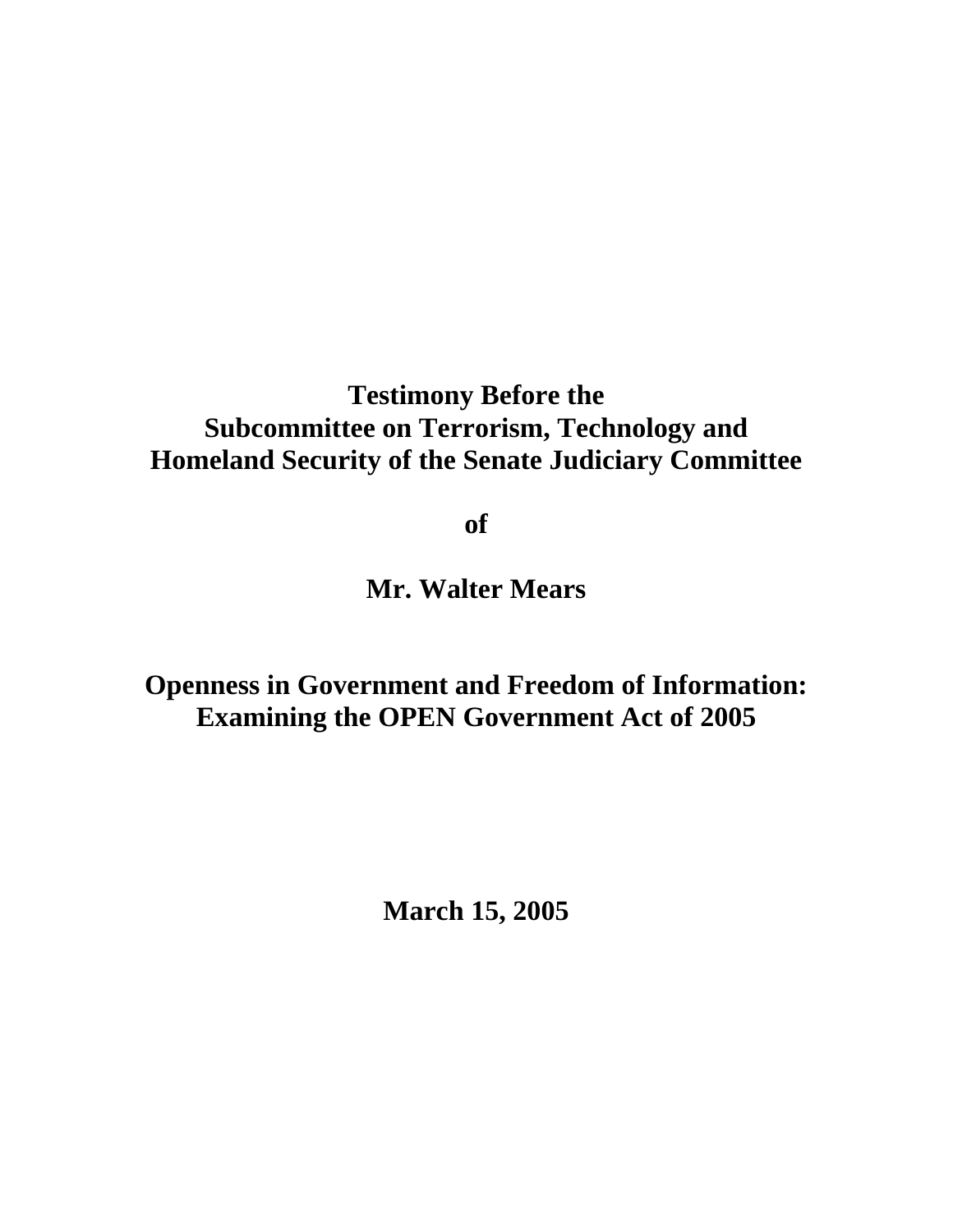## **Testimony Before the Subcommittee on Terrorism, Technology and Homeland Security of the Senate Judiciary Committee**

**of** 

**Mr. Walter Mears** 

## **Openness in Government and Freedom of Information: Examining the OPEN Government Act of 2005**

**March 15, 2005**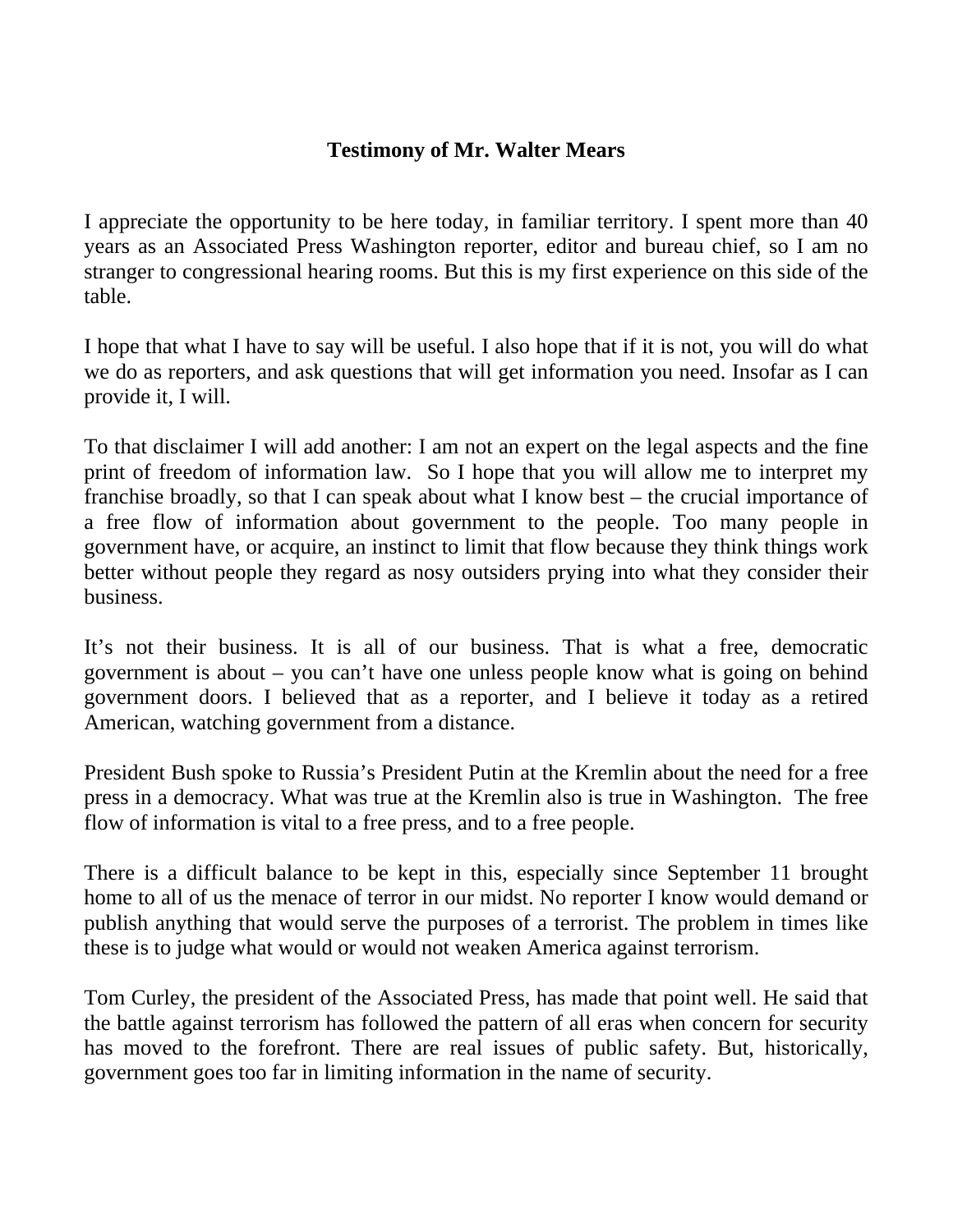## **Testimony of Mr. Walter Mears**

I appreciate the opportunity to be here today, in familiar territory. I spent more than 40 years as an Associated Press Washington reporter, editor and bureau chief, so I am no stranger to congressional hearing rooms. But this is my first experience on this side of the table.

I hope that what I have to say will be useful. I also hope that if it is not, you will do what we do as reporters, and ask questions that will get information you need. Insofar as I can provide it, I will.

To that disclaimer I will add another: I am not an expert on the legal aspects and the fine print of freedom of information law. So I hope that you will allow me to interpret my franchise broadly, so that I can speak about what I know best – the crucial importance of a free flow of information about government to the people. Too many people in government have, or acquire, an instinct to limit that flow because they think things work better without people they regard as nosy outsiders prying into what they consider their business.

It's not their business. It is all of our business. That is what a free, democratic government is about – you can't have one unless people know what is going on behind government doors. I believed that as a reporter, and I believe it today as a retired American, watching government from a distance.

President Bush spoke to Russia's President Putin at the Kremlin about the need for a free press in a democracy. What was true at the Kremlin also is true in Washington. The free flow of information is vital to a free press, and to a free people.

There is a difficult balance to be kept in this, especially since September 11 brought home to all of us the menace of terror in our midst. No reporter I know would demand or publish anything that would serve the purposes of a terrorist. The problem in times like these is to judge what would or would not weaken America against terrorism.

Tom Curley, the president of the Associated Press, has made that point well. He said that the battle against terrorism has followed the pattern of all eras when concern for security has moved to the forefront. There are real issues of public safety. But, historically, government goes too far in limiting information in the name of security.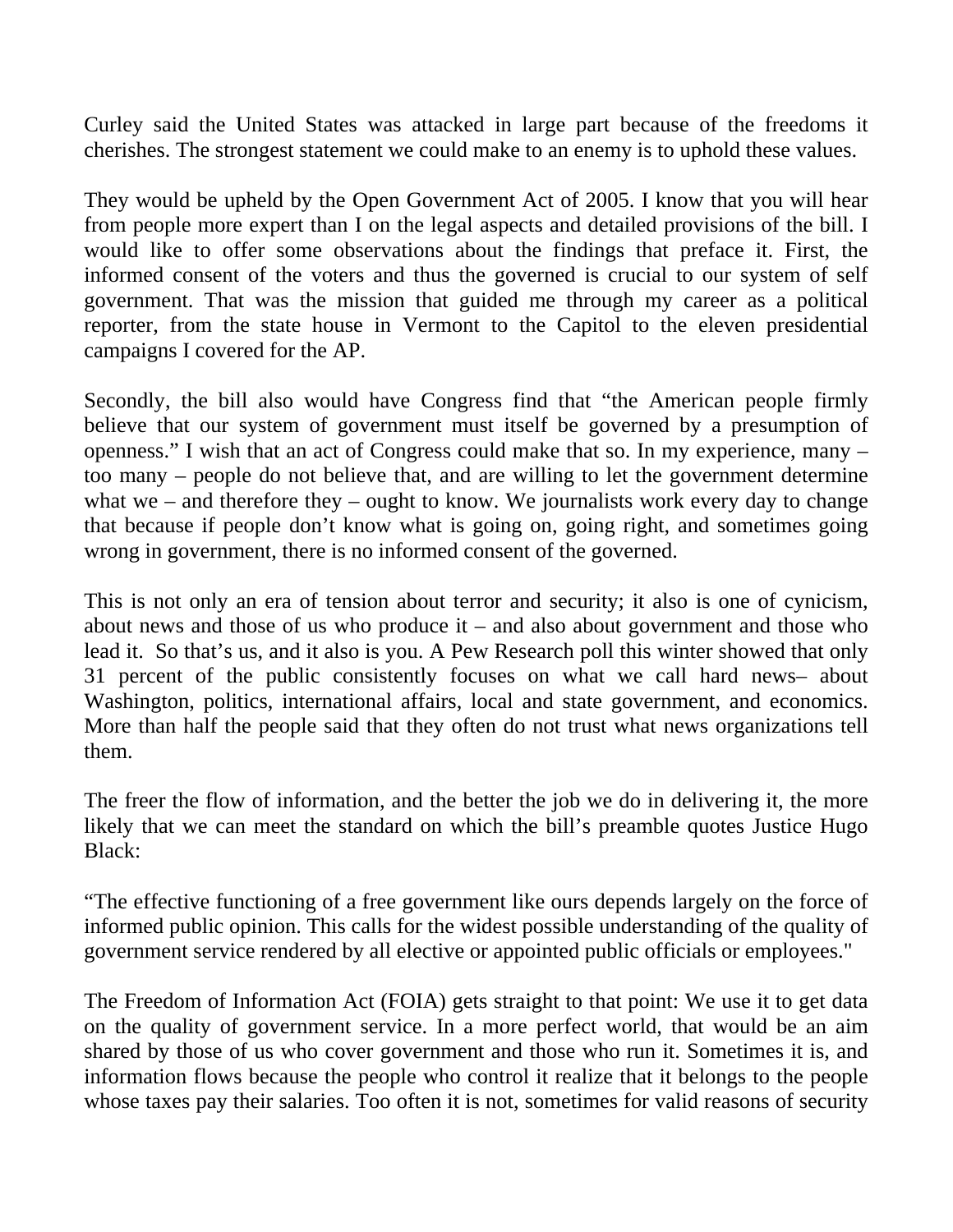Curley said the United States was attacked in large part because of the freedoms it cherishes. The strongest statement we could make to an enemy is to uphold these values.

They would be upheld by the Open Government Act of 2005. I know that you will hear from people more expert than I on the legal aspects and detailed provisions of the bill. I would like to offer some observations about the findings that preface it. First, the informed consent of the voters and thus the governed is crucial to our system of self government. That was the mission that guided me through my career as a political reporter, from the state house in Vermont to the Capitol to the eleven presidential campaigns I covered for the AP.

Secondly, the bill also would have Congress find that "the American people firmly believe that our system of government must itself be governed by a presumption of openness." I wish that an act of Congress could make that so. In my experience, many – too many – people do not believe that, and are willing to let the government determine what we – and therefore they – ought to know. We journalists work every day to change that because if people don't know what is going on, going right, and sometimes going wrong in government, there is no informed consent of the governed.

This is not only an era of tension about terror and security; it also is one of cynicism, about news and those of us who produce it – and also about government and those who lead it. So that's us, and it also is you. A Pew Research poll this winter showed that only 31 percent of the public consistently focuses on what we call hard news– about Washington, politics, international affairs, local and state government, and economics. More than half the people said that they often do not trust what news organizations tell them.

The freer the flow of information, and the better the job we do in delivering it, the more likely that we can meet the standard on which the bill's preamble quotes Justice Hugo Black:

"The effective functioning of a free government like ours depends largely on the force of informed public opinion. This calls for the widest possible understanding of the quality of government service rendered by all elective or appointed public officials or employees."

The Freedom of Information Act (FOIA) gets straight to that point: We use it to get data on the quality of government service. In a more perfect world, that would be an aim shared by those of us who cover government and those who run it. Sometimes it is, and information flows because the people who control it realize that it belongs to the people whose taxes pay their salaries. Too often it is not, sometimes for valid reasons of security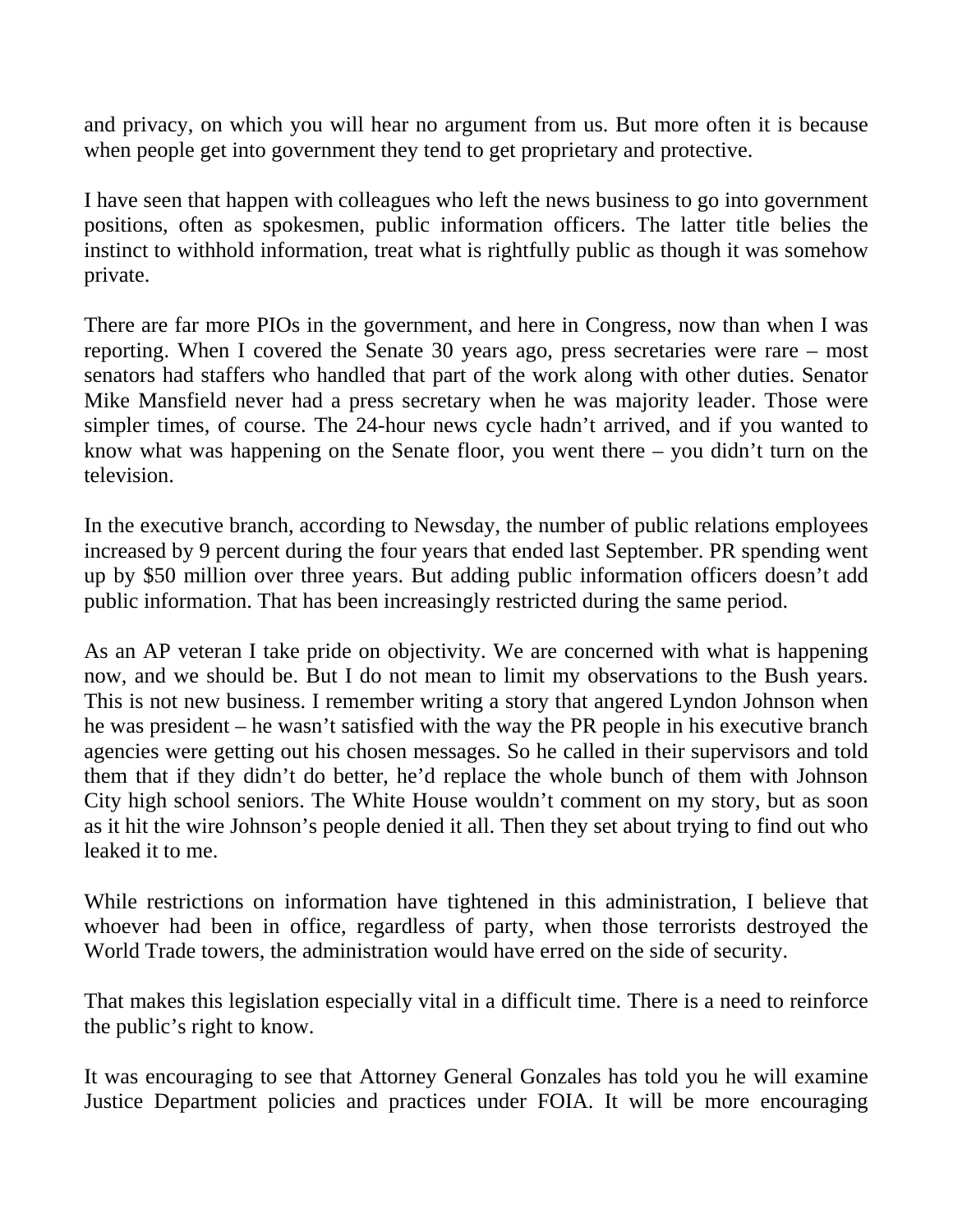and privacy, on which you will hear no argument from us. But more often it is because when people get into government they tend to get proprietary and protective.

I have seen that happen with colleagues who left the news business to go into government positions, often as spokesmen, public information officers. The latter title belies the instinct to withhold information, treat what is rightfully public as though it was somehow private.

There are far more PIOs in the government, and here in Congress, now than when I was reporting. When I covered the Senate 30 years ago, press secretaries were rare – most senators had staffers who handled that part of the work along with other duties. Senator Mike Mansfield never had a press secretary when he was majority leader. Those were simpler times, of course. The 24-hour news cycle hadn't arrived, and if you wanted to know what was happening on the Senate floor, you went there – you didn't turn on the television.

In the executive branch, according to Newsday, the number of public relations employees increased by 9 percent during the four years that ended last September. PR spending went up by \$50 million over three years. But adding public information officers doesn't add public information. That has been increasingly restricted during the same period.

As an AP veteran I take pride on objectivity. We are concerned with what is happening now, and we should be. But I do not mean to limit my observations to the Bush years. This is not new business. I remember writing a story that angered Lyndon Johnson when he was president – he wasn't satisfied with the way the PR people in his executive branch agencies were getting out his chosen messages. So he called in their supervisors and told them that if they didn't do better, he'd replace the whole bunch of them with Johnson City high school seniors. The White House wouldn't comment on my story, but as soon as it hit the wire Johnson's people denied it all. Then they set about trying to find out who leaked it to me.

While restrictions on information have tightened in this administration, I believe that whoever had been in office, regardless of party, when those terrorists destroyed the World Trade towers, the administration would have erred on the side of security.

That makes this legislation especially vital in a difficult time. There is a need to reinforce the public's right to know.

It was encouraging to see that Attorney General Gonzales has told you he will examine Justice Department policies and practices under FOIA. It will be more encouraging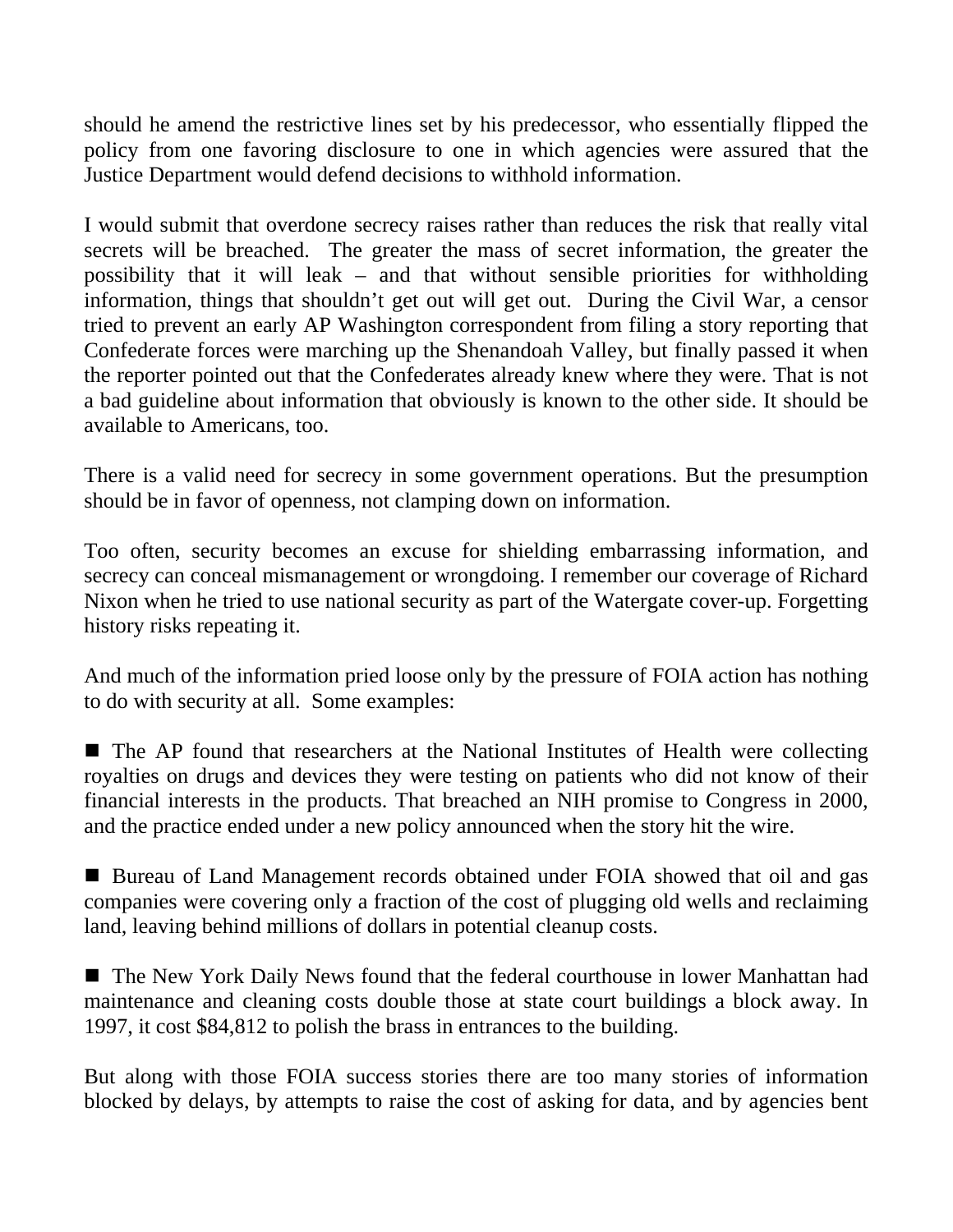should he amend the restrictive lines set by his predecessor, who essentially flipped the policy from one favoring disclosure to one in which agencies were assured that the Justice Department would defend decisions to withhold information.

I would submit that overdone secrecy raises rather than reduces the risk that really vital secrets will be breached. The greater the mass of secret information, the greater the possibility that it will leak – and that without sensible priorities for withholding information, things that shouldn't get out will get out. During the Civil War, a censor tried to prevent an early AP Washington correspondent from filing a story reporting that Confederate forces were marching up the Shenandoah Valley, but finally passed it when the reporter pointed out that the Confederates already knew where they were. That is not a bad guideline about information that obviously is known to the other side. It should be available to Americans, too.

There is a valid need for secrecy in some government operations. But the presumption should be in favor of openness, not clamping down on information.

Too often, security becomes an excuse for shielding embarrassing information, and secrecy can conceal mismanagement or wrongdoing. I remember our coverage of Richard Nixon when he tried to use national security as part of the Watergate cover-up. Forgetting history risks repeating it.

And much of the information pried loose only by the pressure of FOIA action has nothing to do with security at all. Some examples:

■ The AP found that researchers at the National Institutes of Health were collecting royalties on drugs and devices they were testing on patients who did not know of their financial interests in the products. That breached an NIH promise to Congress in 2000, and the practice ended under a new policy announced when the story hit the wire.

■ Bureau of Land Management records obtained under FOIA showed that oil and gas companies were covering only a fraction of the cost of plugging old wells and reclaiming land, leaving behind millions of dollars in potential cleanup costs.

■ The New York Daily News found that the federal courthouse in lower Manhattan had maintenance and cleaning costs double those at state court buildings a block away. In 1997, it cost \$84,812 to polish the brass in entrances to the building.

But along with those FOIA success stories there are too many stories of information blocked by delays, by attempts to raise the cost of asking for data, and by agencies bent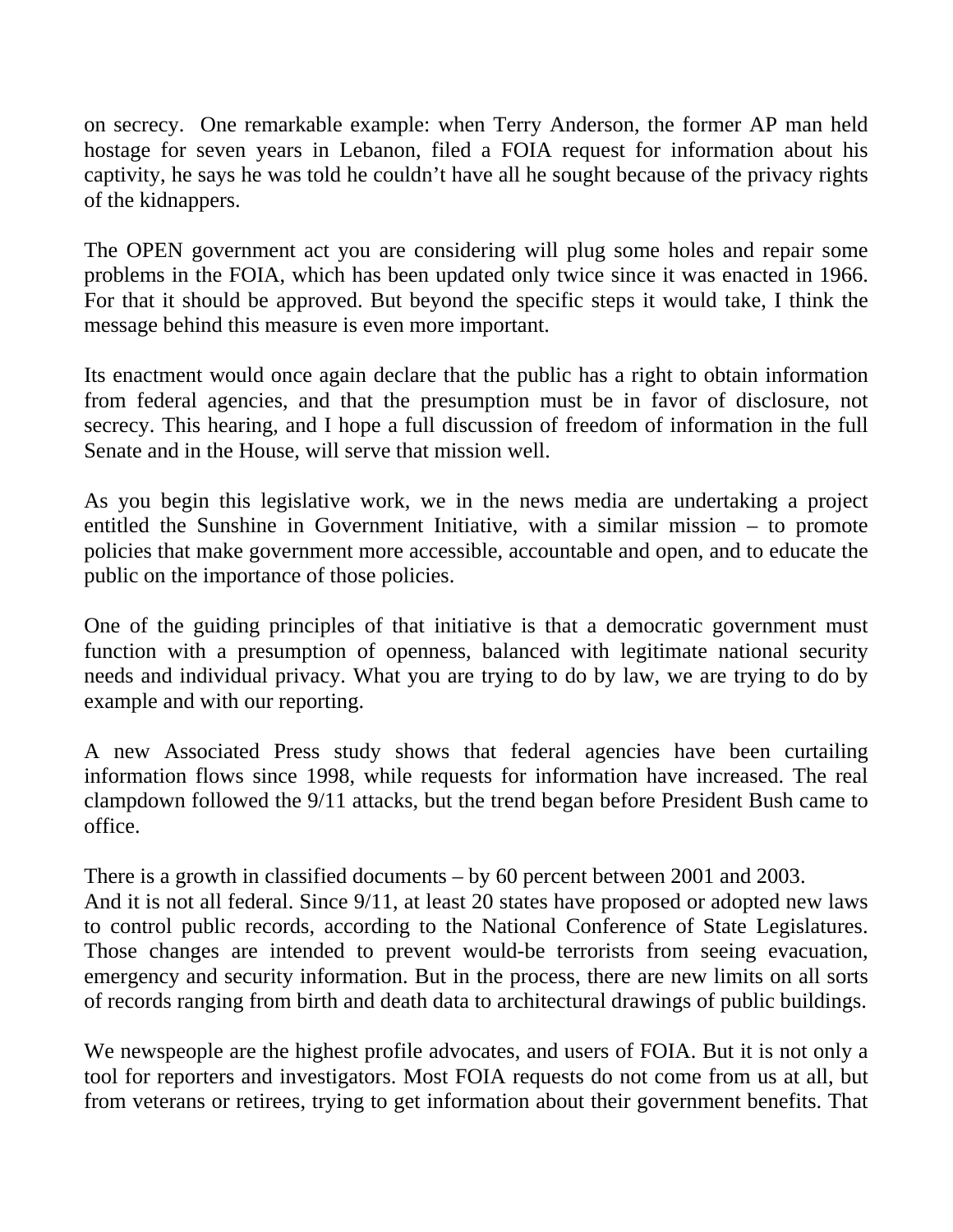on secrecy. One remarkable example: when Terry Anderson, the former AP man held hostage for seven years in Lebanon, filed a FOIA request for information about his captivity, he says he was told he couldn't have all he sought because of the privacy rights of the kidnappers.

The OPEN government act you are considering will plug some holes and repair some problems in the FOIA, which has been updated only twice since it was enacted in 1966. For that it should be approved. But beyond the specific steps it would take, I think the message behind this measure is even more important.

Its enactment would once again declare that the public has a right to obtain information from federal agencies, and that the presumption must be in favor of disclosure, not secrecy. This hearing, and I hope a full discussion of freedom of information in the full Senate and in the House, will serve that mission well.

As you begin this legislative work, we in the news media are undertaking a project entitled the Sunshine in Government Initiative, with a similar mission – to promote policies that make government more accessible, accountable and open, and to educate the public on the importance of those policies.

One of the guiding principles of that initiative is that a democratic government must function with a presumption of openness, balanced with legitimate national security needs and individual privacy. What you are trying to do by law, we are trying to do by example and with our reporting.

A new Associated Press study shows that federal agencies have been curtailing information flows since 1998, while requests for information have increased. The real clampdown followed the 9/11 attacks, but the trend began before President Bush came to office.

There is a growth in classified documents – by 60 percent between 2001 and 2003. And it is not all federal. Since 9/11, at least 20 states have proposed or adopted new laws to control public records, according to the National Conference of State Legislatures. Those changes are intended to prevent would-be terrorists from seeing evacuation, emergency and security information. But in the process, there are new limits on all sorts of records ranging from birth and death data to architectural drawings of public buildings.

We newspeople are the highest profile advocates, and users of FOIA. But it is not only a tool for reporters and investigators. Most FOIA requests do not come from us at all, but from veterans or retirees, trying to get information about their government benefits. That